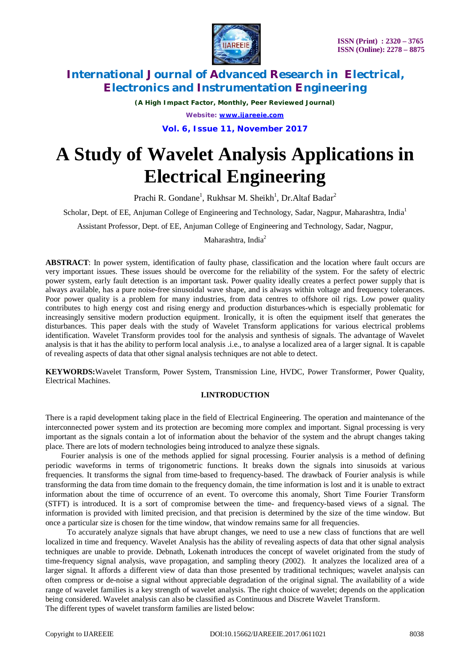

*(A High Impact Factor, Monthly, Peer Reviewed Journal) Website: [www.ijareeie.com](http://www.ijareeie.com)*

**Vol. 6, Issue 11, November 2017**

# **A Study of Wavelet Analysis Applications in Electrical Engineering**

Prachi R. Gondane<sup>1</sup>, Rukhsar M. Sheikh<sup>1</sup>, Dr.Altaf Badar<sup>2</sup>

Scholar, Dept. of EE, Anjuman College of Engineering and Technology, Sadar, Nagpur, Maharashtra, India<sup>1</sup>

Assistant Professor, Dept. of EE, Anjuman College of Engineering and Technology, Sadar, Nagpur,

Maharashtra, India<sup>2</sup>

**ABSTRACT**: In power system, identification of faulty phase, classification and the location where fault occurs are very important issues. These issues should be overcome for the reliability of the system. For the safety of electric power system, early fault detection is an important task. Power quality ideally creates a perfect power supply that is always available, has a pure noise-free sinusoidal wave shape, and is always within voltage and frequency tolerances. Poor power quality is a problem for many industries, from data centres to offshore oil rigs. Low power quality contributes to high energy cost and rising energy and production disturbances-which is especially problematic for increasingly sensitive modern production equipment. Ironically, it is often the equipment itself that generates the disturbances. This paper deals with the study of Wavelet Transform applications for various electrical problems identification. Wavelet Transform provides tool for the analysis and synthesis of signals. The advantage of Wavelet analysis is that it has the ability to perform local analysis .i.e., to analyse a localized area of a larger signal. It is capable of revealing aspects of data that other signal analysis techniques are not able to detect.

**KEYWORDS:**Wavelet Transform, Power System, Transmission Line, HVDC, Power Transformer, Power Quality, Electrical Machines.

# **I.INTRODUCTION**

There is a rapid development taking place in the field of Electrical Engineering. The operation and maintenance of the interconnected power system and its protection are becoming more complex and important. Signal processing is very important as the signals contain a lot of information about the behavior of the system and the abrupt changes taking place. There are lots of modern technologies being introduced to analyze these signals.

 Fourier analysis is one of the methods applied for signal processing. Fourier analysis is a method of defining periodic waveforms in terms of trigonometric functions. It breaks down the signals into sinusoids at various frequencies. It transforms the signal from time-based to frequency-based. The drawback of Fourier analysis is while transforming the data from time domain to the frequency domain, the time information is lost and it is unable to extract information about the time of occurrence of an event. To overcome this anomaly, Short Time Fourier Transform (STFT) is introduced. It is a sort of compromise between the time- and frequency-based views of a signal. The information is provided with limited precision, and that precision is determined by the size of the time window. But once a particular size is chosen for the time window, that window remains same for all frequencies.

 To accurately analyze signals that have abrupt changes, we need to use a new class of functions that are well localized in time and frequency. Wavelet Analysis has the ability of revealing aspects of data that other signal analysis techniques are unable to provide. Debnath, Lokenath introduces the concept of wavelet originated from the study of time-frequency signal analysis, wave propagation, and sampling theory (2002). It analyzes the localized area of a larger signal. It affords a different view of data than those presented by traditional techniques; wavelet analysis can often compress or de-noise a signal without appreciable degradation of the original signal. The availability of a wide range of wavelet families is a key strength of wavelet analysis. The right choice of wavelet; depends on the application being considered. Wavelet analysis can also be classified as Continuous and Discrete Wavelet Transform. The different types of wavelet transform families are listed below: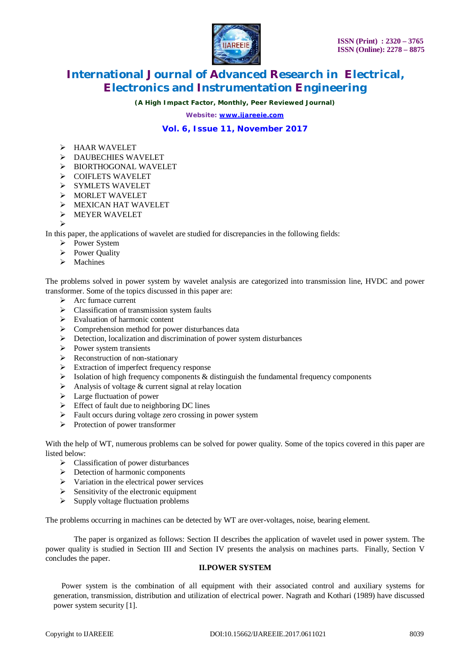

*(A High Impact Factor, Monthly, Peer Reviewed Journal)*

*Website: [www.ijareeie.com](http://www.ijareeie.com)*

# **Vol. 6, Issue 11, November 2017**

- HAAR WAVELET
- > DAUBECHIES WAVELET
- > BIORTHOGONAL WAVELET
- COIFLETS WAVELET
- SYMLETS WAVELET
- MORLET WAVELET
- **EXICAN HAT WAVELET**
- MEYER WAVELET
- $\triangleright$

In this paper, the applications of wavelet are studied for discrepancies in the following fields:

- Power System
- Power Quality
- $\triangleright$  Machines

The problems solved in power system by wavelet analysis are categorized into transmission line, HVDC and power transformer. Some of the topics discussed in this paper are:

- $\triangleright$  Arc furnace current
- $\triangleright$  Classification of transmission system faults
- $\triangleright$  Evaluation of harmonic content
- $\triangleright$  Comprehension method for power disturbances data
- Detection, localization and discrimination of power system disturbances
- $\triangleright$  Power system transients
- $\triangleright$  Reconstruction of non-stationary
- Extraction of imperfect frequency response<br>  $\triangleright$  Isolation of high frequency components & a
- Isolation of high frequency components & distinguish the fundamental frequency components
- $\triangleright$  Analysis of voltage & current signal at relay location
- $\triangleright$  Large fluctuation of power
- $\triangleright$  Effect of fault due to neighboring DC lines
- $\triangleright$  Fault occurs during voltage zero crossing in power system
- $\triangleright$  Protection of power transformer

With the help of WT, numerous problems can be solved for power quality. Some of the topics covered in this paper are listed below:

- > Classification of power disturbances
- $\triangleright$  Detection of harmonic components
- $\triangleright$  Variation in the electrical power services
- $\triangleright$  Sensitivity of the electronic equipment
- $\triangleright$  Supply voltage fluctuation problems

The problems occurring in machines can be detected by WT are over-voltages, noise, bearing element.

The paper is organized as follows: Section II describes the application of wavelet used in power system. The power quality is studied in Section III and Section IV presents the analysis on machines parts. Finally, Section V concludes the paper.

### **II.POWER SYSTEM**

Power system is the combination of all equipment with their associated control and auxiliary systems for generation, transmission, distribution and utilization of electrical power. Nagrath and Kothari (1989) have discussed power system security [1].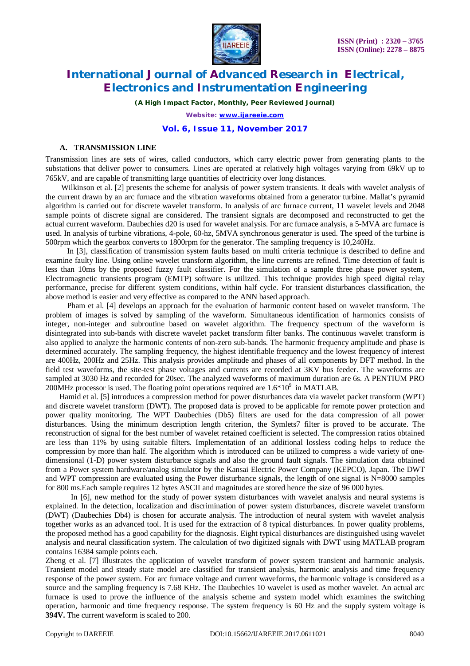

*(A High Impact Factor, Monthly, Peer Reviewed Journal)*

*Website: [www.ijareeie.com](http://www.ijareeie.com)*

### **Vol. 6, Issue 11, November 2017**

### **A. TRANSMISSION LINE**

Transmission lines are sets of wires, called conductors, which carry electric power from generating plants to the substations that deliver power to consumers. Lines are operated at relatively high voltages varying from 69kV up to 765kV, and are capable of transmitting large quantities of electricity over long distances.

Wilkinson et al. [2] presents the scheme for analysis of power system transients. It deals with wavelet analysis of the current drawn by an arc furnace and the vibration waveforms obtained from a generator turbine. Mallat's pyramid algorithm is carried out for discrete wavelet transform. In analysis of arc furnace current, 11 wavelet levels and 2048 sample points of discrete signal are considered. The transient signals are decomposed and reconstructed to get the actual current waveform. Daubechies d20 is used for wavelet analysis. For arc furnace analysis, a 5-MVA arc furnace is used. In analysis of turbine vibrations, 4-pole, 60-hz, 5MVA synchronous generator is used. The speed of the turbine is 500rpm which the gearbox converts to 1800rpm for the generator. The sampling frequency is 10,240Hz.

 In [3], classification of transmission system faults based on multi criteria technique is described to define and examine faulty line. Using online wavelet transform algorithm, the line currents are refined. Time detection of fault is less than 10ms by the proposed fuzzy fault classifier. For the simulation of a sample three phase power system, Electromagnetic transients program (EMTP) software is utilized. This technique provides high speed digital relay performance, precise for different system conditions, within half cycle. For transient disturbances classification, the above method is easier and very effective as compared to the ANN based approach.

 Pham et al. [4] develops an approach for the evaluation of harmonic content based on wavelet transform. The problem of images is solved by sampling of the waveform. Simultaneous identification of harmonics consists of integer, non-integer and subroutine based on wavelet algorithm. The frequency spectrum of the waveform is disintegrated into sub-bands with discrete wavelet packet transform filter banks. The continuous wavelet transform is also applied to analyze the harmonic contents of non-zero sub-bands. The harmonic frequency amplitude and phase is determined accurately. The sampling frequency, the highest identifiable frequency and the lowest frequency of interest are 400Hz, 200Hz and 25Hz. This analysis provides amplitude and phases of all components by DFT method. In the field test waveforms, the site-test phase voltages and currents are recorded at 3KV bus feeder. The waveforms are sampled at 3030 Hz and recorded for 20sec. The analyzed waveforms of maximum duration are 6s. A PENTIUM PRO 200MHz processor is used. The floating point operations required are  $1.6*10^9$  in MATLAB.

 Hamid et al. [5] introduces a compression method for power disturbances data via wavelet packet transform (WPT) and discrete wavelet transform (DWT). The proposed data is proved to be applicable for remote power protection and power quality monitoring. The WPT Daubechies (Db5) filters are used for the data compression of all power disturbances. Using the minimum description length criterion, the Symlets7 filter is proved to be accurate. The reconstruction of signal for the best number of wavelet retained coefficient is selected. The compression ratios obtained are less than 11% by using suitable filters. Implementation of an additional lossless coding helps to reduce the compression by more than half. The algorithm which is introduced can be utilized to compress a wide variety of onedimensional (1-D) power system disturbance signals and also the ground fault signals. The simulation data obtained from a Power system hardware/analog simulator by the Kansai Electric Power Company (KEPCO), Japan. The DWT and WPT compression are evaluated using the Power disturbance signals, the length of one signal is N=8000 samples for 800 ms.Each sample requires 12 bytes ASCII and magnitudes are stored hence the size of 96 000 bytes.

 In [6], new method for the study of power system disturbances with wavelet analysis and neural systems is explained. In the detection, localization and discrimination of power system disturbances, discrete wavelet transform (DWT) (Daubechies Db4) is chosen for accurate analysis. The introduction of neural system with wavelet analysis together works as an advanced tool. It is used for the extraction of 8 typical disturbances. In power quality problems, the proposed method has a good capability for the diagnosis. Eight typical disturbances are distinguished using wavelet analysis and neural classification system. The calculation of two digitized signals with DWT using MATLAB program contains 16384 sample points each.

Zheng et al. [7] illustrates the application of wavelet transform of power system transient and harmonic analysis. Transient model and steady state model are classified for transient analysis, harmonic analysis and time frequency response of the power system. For arc furnace voltage and current waveforms, the harmonic voltage is considered as a source and the sampling frequency is 7.68 KHz. The Daubechies 10 wavelet is used as mother wavelet. An actual arc furnace is used to prove the influence of the analysis scheme and system model which examines the switching operation, harmonic and time frequency response. The system frequency is 60 Hz and the supply system voltage is **394V.** The current waveform is scaled to 200.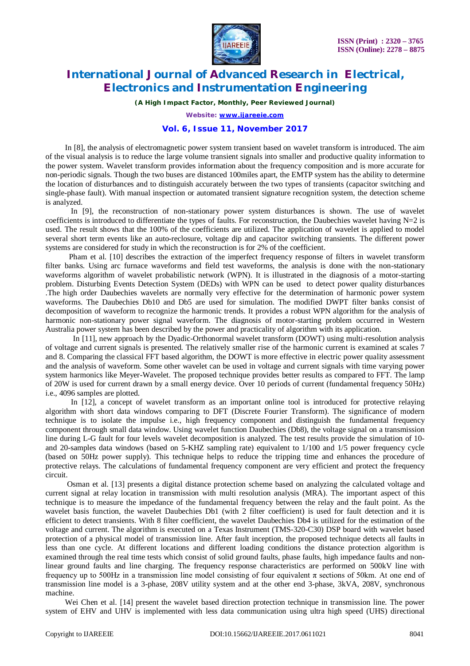

*(A High Impact Factor, Monthly, Peer Reviewed Journal)*

*Website: [www.ijareeie.com](http://www.ijareeie.com)*

# **Vol. 6, Issue 11, November 2017**

 In [8], the analysis of electromagnetic power system transient based on wavelet transform is introduced. The aim of the visual analysis is to reduce the large volume transient signals into smaller and productive quality information to the power system. Wavelet transform provides information about the frequency composition and is more accurate for non-periodic signals. Though the two buses are distanced 100miles apart, the EMTP system has the ability to determine the location of disturbances and to distinguish accurately between the two types of transients (capacitor switching and single-phase fault). With manual inspection or automated transient signature recognition system, the detection scheme is analyzed.

 In [9], the reconstruction of non-stationary power system disturbances is shown. The use of wavelet coefficients is introduced to differentiate the types of faults. For reconstruction, the Daubechies wavelet having  $N=2$  is used. The result shows that the 100% of the coefficients are utilized. The application of wavelet is applied to model several short term events like an auto-reclosure, voltage dip and capacitor switching transients. The different power systems are considered for study in which the reconstruction is for 2% of the coefficient.

 Pham et al. [10] describes the extraction of the imperfect frequency response of filters in wavelet transform filter banks. Using arc furnace waveforms and field test waveforms, the analysis is done with the non-stationary waveforms algorithm of wavelet probabilistic network (WPN). It is illustrated in the diagnosis of a motor-starting problem. Disturbing Events Detection System (DEDs) with WPN can be used to detect power quality disturbances .The high order Daubechies wavelets are normally very effective for the determination of harmonic power system waveforms. The Daubechies Db10 and Db5 are used for simulation. The modified DWPT filter banks consist of decomposition of waveform to recognize the harmonic trends. It provides a robust WPN algorithm for the analysis of harmonic non-stationary power signal waveform. The diagnosis of motor-starting problem occurred in Western Australia power system has been described by the power and practicality of algorithm with its application.

 In [11], new approach by the Dyadic-Orthonormal wavelet transform (DOWT) using multi-resolution analysis of voltage and current signals is presented. The relatively smaller rise of the harmonic current is examined at scales 7 and 8. Comparing the classical FFT based algorithm, the DOWT is more effective in electric power quality assessment and the analysis of waveform. Some other wavelet can be used in voltage and current signals with time varying power system harmonics like Meyer-Wavelet. The proposed technique provides better results as compared to FFT. The lamp of 20W is used for current drawn by a small energy device. Over 10 periods of current (fundamental frequency 50Hz) i.e., 4096 samples are plotted.

In [12], a concept of wavelet transform as an important online tool is introduced for protective relaying algorithm with short data windows comparing to DFT (Discrete Fourier Transform). The significance of modern technique is to isolate the impulse i.e., high frequency component and distinguish the fundamental frequency component through small data window. Using wavelet function Daubechies (Db8), the voltage signal on a transmission line during L-G fault for four levels wavelet decomposition is analyzed. The test results provide the simulation of 10 and 20-samples data windows (based on 5-KHZ sampling rate) equivalent to 1/100 and 1/5 power frequency cycle (based on 50Hz power supply). This technique helps to reduce the tripping time and enhances the procedure of protective relays. The calculations of fundamental frequency component are very efficient and protect the frequency circuit.

 Osman et al. [13] presents a digital distance protection scheme based on analyzing the calculated voltage and current signal at relay location in transmission with multi resolution analysis (MRA). The important aspect of this technique is to measure the impedance of the fundamental frequency between the relay and the fault point. As the wavelet basis function, the wavelet Daubechies Db1 (with 2 filter coefficient) is used for fault detection and it is efficient to detect transients. With 8 filter coefficient, the wavelet Daubechies Db4 is utilized for the estimation of the voltage and current. The algorithm is executed on a Texas Instrument (TMS-320-C30) DSP board with wavelet based protection of a physical model of transmission line. After fault inception, the proposed technique detects all faults in less than one cycle. At different locations and different loading conditions the distance protection algorithm is examined through the real time tests which consist of solid ground faults, phase faults, high impedance faults and nonlinear ground faults and line charging. The frequency response characteristics are performed on 500kV line with frequency up to 500Hz in a transmission line model consisting of four equivalent  $\pi$  sections of 50km. At one end of transmission line model is a 3-phase, 208V utility system and at the other end 3-phase, 3kVA, 208V, synchronous machine.

 Wei Chen et al. [14] present the wavelet based direction protection technique in transmission line. The power system of EHV and UHV is implemented with less data communication using ultra high speed (UHS) directional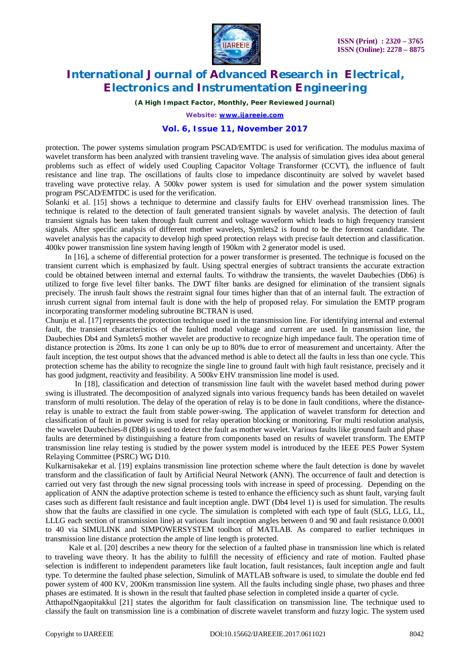

*(A High Impact Factor, Monthly, Peer Reviewed Journal)*

*Website: [www.ijareeie.com](http://www.ijareeie.com)*

### **Vol. 6, Issue 11, November 2017**

protection. The power systems simulation program PSCAD/EMTDC is used for verification. The modulus maxima of wavelet transform has been analyzed with transient traveling wave. The analysis of simulation gives idea about general problems such as effect of widely used Coupling Capacitor Voltage Transformer (CCVT), the influence of fault resistance and line trap. The oscillations of faults close to impedance discontinuity are solved by wavelet based traveling wave protective relay. A 500kv power system is used for simulation and the power system simulation program PSCAD/EMTDC is used for the verification.

Solanki et al. [15] shows a technique to determine and classify faults for EHV overhead transmission lines. The technique is related to the detection of fault generated transient signals by wavelet analysis. The detection of fault transient signals has been taken through fault current and voltage waveform which leads to high frequency transient signals. After specific analysis of different mother wavelets, Symlets2 is found to be the foremost candidate. The wavelet analysis has the capacity to develop high speed protection relays with precise fault detection and classification. 400kv power transmission line system having length of 190km with 2 generator model is used.

 In [16], a scheme of differential protection for a power transformer is presented. The technique is focused on the transient current which is emphasized by fault. Using spectral energies of subtract transients the accurate extraction could be obtained between internal and external faults. To withdraw the transients, the wavelet Daubechies (Db6) is utilized to forge five level filter banks. The DWT filter banks are designed for elimination of the transient signals precisely. The inrush fault shows the restraint signal four times higher than that of an internal fault. The extraction of inrush current signal from internal fault is done with the help of proposed relay. For simulation the EMTP program incorporating transformer modeling subroutine BCTRAN is used.

Chunju et al. [17] represents the protection technique used in the transmission line. For identifying internal and external fault, the transient characteristics of the faulted modal voltage and current are used. In transmission line, the Daubechies Db4 and Symlets5 mother wavelet are productive to recognize high impedance fault. The operation time of distance protection is 20ms. Its zone 1 can only be up to 80% due to error of measurement and uncertainty. After the fault inception, the test output shows that the advanced method is able to detect all the faults in less than one cycle. This protection scheme has the ability to recognize the single line to ground fault with high fault resistance, precisely and it has good judgment, reactivity and feasibility. A 500kv EHV transmission line model is used.

 In [18], classification and detection of transmission line fault with the wavelet based method during power swing is illustrated. The decomposition of analyzed signals into various frequency bands has been detailed on wavelet transform of multi resolution. The delay of the operation of relay is to be done in fault conditions, where the distancerelay is unable to extract the fault from stable power-swing. The application of wavelet transform for detection and classification of fault in power swing is used for relay operation blocking or monitoring. For multi resolution analysis, the wavelet Daubechies-8 (Db8) is used to detect the fault as mother wavelet. Various faults like ground fault and phase faults are determined by distinguishing a feature from components based on results of wavelet transform. The EMTP transmission line relay testing is studied by the power system model is introduced by the IEEE PES Power System Relaying Committee (PSRC) WG D10.

Kulkarnisakekar et al. [19] explains transmission line protection scheme where the fault detection is done by wavelet transform and the classification of fault by Artificial Neural Network (ANN). The occurrence of fault and detection is carried out very fast through the new signal processing tools with increase in speed of processing. Depending on the application of ANN the adaptive protection scheme is tested to enhance the efficiency such as shunt fault, varying fault cases such as different fault resistance and fault inception angle. DWT (Db4 level 1) is used for simulation. The results show that the faults are classified in one cycle. The simulation is completed with each type of fault (SLG, LLG, LL, LLLG each section of transmission line) at various fault inception angles between 0 and 90 and fault resistance 0.0001 to 40 via SIMULINK and SIMPOWERSYSTEM toolbox of MATLAB. As compared to earlier techniques in transmission line distance protection the ample of line length is protected.

 Kale et al. [20] describes a new theory for the selection of a faulted phase in transmission line which is related to traveling wave theory. It has the ability to fulfill the necessity of efficiency and rate of motion. Faulted phase selection is indifferent to independent parameters like fault location, fault resistances, fault inception angle and fault type. To determine the faulted phase selection, Simulink of MATLAB software is used, to simulate the double end fed power system of 400 KV, 200Km transmission line system. All the faults including single phase, two phases and three phases are estimated. It is shown in the result that faulted phase selection in completed inside a quarter of cycle.

AtthapolNgaopitakkul [21] states the algorithm for fault classification on transmission line. The technique used to classify the fault on transmission line is a combination of discrete wavelet transform and fuzzy logic. The system used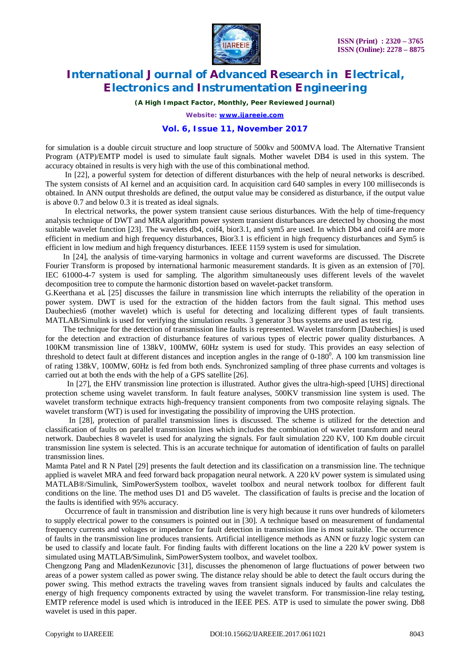

*(A High Impact Factor, Monthly, Peer Reviewed Journal)*

*Website: [www.ijareeie.com](http://www.ijareeie.com)*

# **Vol. 6, Issue 11, November 2017**

for simulation is a double circuit structure and loop structure of 500kv and 500MVA load. The Alternative Transient Program (ATP)/EMTP model is used to simulate fault signals. Mother wavelet DB4 is used in this system. The accuracy obtained in results is very high with the use of this combinational method.

 In [22], a powerful system for detection of different disturbances with the help of neural networks is described. The system consists of AI kernel and an acquisition card. In acquisition card 640 samples in every 100 milliseconds is obtained. In ANN output thresholds are defined, the output value may be considered as disturbance, if the output value is above 0.7 and below 0.3 it is treated as ideal signals.

 In electrical networks, the power system transient cause serious disturbances. With the help of time-frequency analysis technique of DWT and MRA algorithm power system transient disturbances are detected by choosing the most suitable wavelet function [23]. The wavelets db4, coif4, bior3.1, and sym5 are used. In which Db4 and coif4 are more efficient in medium and high frequency disturbances, Bior3.1 is efficient in high frequency disturbances and Sym5 is efficient in low medium and high frequency disturbances. IEEE 1159 system is used for simulation.

 In [24], the analysis of time-varying harmonics in voltage and current waveforms are discussed. The Discrete Fourier Transform is proposed by international harmonic measurement standards. It is given as an extension of [70]. IEC 61000-4-7 system is used for sampling. The algorithm simultaneously uses different levels of the wavelet decomposition tree to compute the harmonic distortion based on wavelet-packet transform.

G.Keerthana et al*.* [25] discusses the failure in transmission line which interrupts the reliability of the operation in power system. DWT is used for the extraction of the hidden factors from the fault signal. This method uses Daubechies6 (mother wavelet) which is useful for detecting and localizing different types of fault transients. MATLAB/Simulink is used for verifying the simulation results. 3 generator 3 bus systems are used as test rig.

 The technique for the detection of transmission line faults is represented. Wavelet transform [Daubechies] is used for the detection and extraction of disturbance features of various types of electric power quality disturbances. A 100KM transmission line of 138kV, 100MW, 60Hz system is used for study. This provides an easy selection of threshold to detect fault at different distances and inception angles in the range of  $0-180^0$ . A 100 km transmission line of rating 138kV, 100MW, 60Hz is fed from both ends. Synchronized sampling of three phase currents and voltages is carried out at both the ends with the help of a GPS satellite [26].

 In [27], the EHV transmission line protection is illustrated. Author gives the ultra-high-speed [UHS] directional protection scheme using wavelet transform. In fault feature analyses, 500KV transmission line system is used. The wavelet transform technique extracts high-frequency transient components from two composite relaying signals. The wavelet transform (WT) is used for investigating the possibility of improving the UHS protection.

 In [28], protection of parallel transmission lines is discussed. The scheme is utilized for the detection and classification of faults on parallel transmission lines which includes the combination of wavelet transform and neural network. Daubechies 8 wavelet is used for analyzing the signals. For fault simulation 220 KV, 100 Km double circuit transmission line system is selected. This is an accurate technique for automation of identification of faults on parallel transmission lines.

Mamta Patel and R N Patel [29] presents the fault detection and its classification on a transmission line. The technique applied is wavelet MRA and feed forward back propagation neural network. A 220 kV power system is simulated using MATLAB®/Simulink, SimPowerSystem toolbox, wavelet toolbox and neural network toolbox for different fault conditions on the line. The method uses D1 and D5 wavelet. The classification of faults is precise and the location of the faults is identified with 95% accuracy.

 Occurrence of fault in transmission and distribution line is very high because it runs over hundreds of kilometers to supply electrical power to the consumers is pointed out in [30]. A technique based on measurement of fundamental frequency currents and voltages or impedance for fault detection in transmission line is most suitable. The occurrence of faults in the transmission line produces transients. Artificial intelligence methods as ANN or fuzzy logic system can be used to classify and locate fault. For finding faults with different locations on the line a 220 kV power system is simulated using MATLAB/Simulink, SimPowerSystem toolbox, and wavelet toolbox.

Chengzong Pang and MladenKezunovic [31], discusses the phenomenon of large fluctuations of power between two areas of a power system called as power swing. The distance relay should be able to detect the fault occurs during the power swing. This method extracts the traveling waves from transient signals induced by faults and calculates the energy of high frequency components extracted by using the wavelet transform. For transmission-line relay testing, EMTP reference model is used which is introduced in the IEEE PES. ATP is used to simulate the power swing. Db8 wavelet is used in this paper.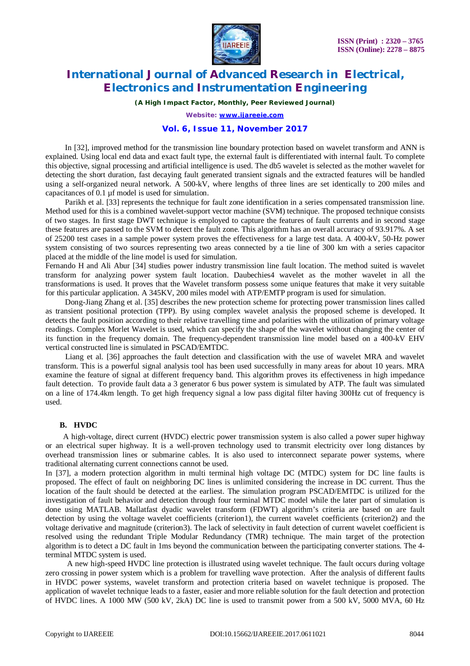

*(A High Impact Factor, Monthly, Peer Reviewed Journal)*

*Website: [www.ijareeie.com](http://www.ijareeie.com)*

### **Vol. 6, Issue 11, November 2017**

 In [32], improved method for the transmission line boundary protection based on wavelet transform and ANN is explained. Using local end data and exact fault type, the external fault is differentiated with internal fault. To complete this objective, signal processing and artificial intelligence is used. The db5 wavelet is selected as the mother wavelet for detecting the short duration, fast decaying fault generated transient signals and the extracted features will be handled using a self-organized neural network. A 500-kV, where lengths of three lines are set identically to 200 miles and capacitances of 0.1 µf model is used for simulation.

Parikh et al. [33] represents the technique for fault zone identification in a series compensated transmission line. Method used for this is a combined wavelet-support vector machine (SVM) technique. The proposed technique consists of two stages. In first stage DWT technique is employed to capture the features of fault currents and in second stage these features are passed to the SVM to detect the fault zone. This algorithm has an overall accuracy of 93.917%. A set of 25200 test cases in a sample power system proves the effectiveness for a large test data. A 400-kV, 50-Hz power system consisting of two sources representing two areas connected by a tie line of 300 km with a series capacitor placed at the middle of the line model is used for simulation.

Fernando H and Ali Abur [34] studies power industry transmission line fault location. The method suited is wavelet transform for analyzing power system fault location. Daubechies4 wavelet as the mother wavelet in all the transformations is used. It proves that the Wavelet transform possess some unique features that make it very suitable for this particular application. A 345KV, 200 miles model with ATP/EMTP program is used for simulation.

 Dong-Jiang Zhang et al. [35] describes the new protection scheme for protecting power transmission lines called as transient positional protection (TPP). By using complex wavelet analysis the proposed scheme is developed. It detects the fault position according to their relative travelling time and polarities with the utilization of primary voltage readings. Complex Morlet Wavelet is used, which can specify the shape of the wavelet without changing the center of its function in the frequency domain. The frequency-dependent transmission line model based on a 400-kV EHV vertical constructed line is simulated in PSCAD/EMTDC.

 Liang et al. [36] approaches the fault detection and classification with the use of wavelet MRA and wavelet transform. This is a powerful signal analysis tool has been used successfully in many areas for about 10 years. MRA examine the feature of signal at different frequency band. This algorithm proves its effectiveness in high impedance fault detection. To provide fault data a 3 generator 6 bus power system is simulated by ATP. The fault was simulated on a line of 174.4km length. To get high frequency signal a low pass digital filter having 300Hz cut of frequency is used.

# **B. HVDC**

 A high-voltage, direct current (HVDC) electric power transmission system is also called a power super highway or an electrical super highway. It is a well-proven technology used to transmit electricity over long distances by overhead transmission lines or submarine cables. It is also used to interconnect separate power systems, where traditional alternating current connections cannot be used.

In [37], a modern protection algorithm in multi terminal high voltage DC (MTDC) system for DC line faults is proposed. The effect of fault on neighboring DC lines is unlimited considering the increase in DC current. Thus the location of the fault should be detected at the earliest. The simulation program PSCAD/EMTDC is utilized for the investigation of fault behavior and detection through four terminal MTDC model while the later part of simulation is done using MATLAB. Mallatfast dyadic wavelet transform (FDWT) algorithm's criteria are based on are fault detection by using the voltage wavelet coefficients (criterion1), the current wavelet coefficients (criterion2) and the voltage derivative and magnitude (criterion3). The lack of selectivity in fault detection of current wavelet coefficient is resolved using the redundant Triple Modular Redundancy (TMR) technique. The main target of the protection algorithm is to detect a DC fault in 1ms beyond the communication between the participating converter stations. The 4 terminal MTDC system is used.

 A new high-speed HVDC line protection is illustrated using wavelet technique. The fault occurs during voltage zero crossing in power system which is a problem for travelling wave protection. After the analysis of different faults in HVDC power systems, wavelet transform and protection criteria based on wavelet technique is proposed. The application of wavelet technique leads to a faster, easier and more reliable solution for the fault detection and protection of HVDC lines. A 1000 MW (500 kV, 2kA) DC line is used to transmit power from a 500 kV, 5000 MVA, 60 Hz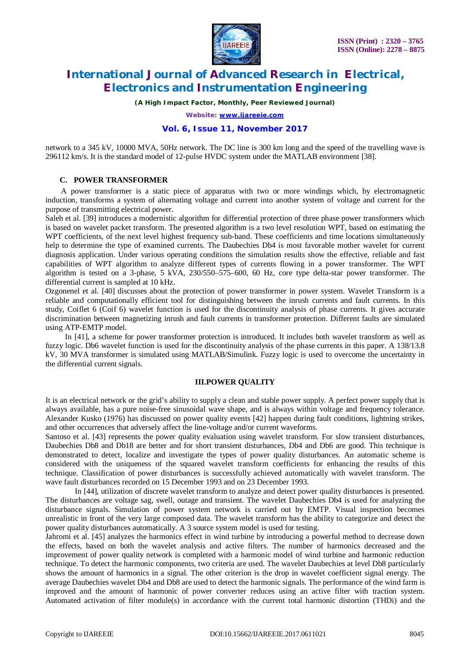

*(A High Impact Factor, Monthly, Peer Reviewed Journal)*

*Website: [www.ijareeie.com](http://www.ijareeie.com)*

### **Vol. 6, Issue 11, November 2017**

network to a 345 kV, 10000 MVA, 50Hz network. The DC line is 300 km long and the speed of the travelling wave is 296112 km/s. It is the standard model of 12-pulse HVDC system under the MATLAB environment [38].

# **C. POWER TRANSFORMER**

 A power transformer is a static piece of apparatus with two or more windings which, by electromagnetic induction, transforms a system of alternating voltage and current into another system of voltage and current for the purpose of transmitting electrical power.

Saleh et al. [39] introduces a modernistic algorithm for differential protection of three phase power transformers which is based on wavelet packet transform. The presented algorithm is a two level resolution WPT, based on estimating the WPT coefficients, of the next level highest frequency sub-band. These coefficients and time locations simultaneously help to determine the type of examined currents. The Daubechies Db4 is most favorable mother wavelet for current diagnosis application. Under various operating conditions the simulation results show the effective, reliable and fast capabilities of WPT algorithm to analyze different types of currents flowing in a power transformer. The WPT algorithm is tested on a 3-phase, 5 kVA, 230/550–575–600, 60 Hz, core type delta-star power transformer. The differential current is sampled at 10 kHz.

Ozgonenel et al. [40] discusses about the protection of power transformer in power system. Wavelet Transform is a reliable and computationally efficient tool for distinguishing between the inrush currents and fault currents. In this study, Coiflet 6 (Coif 6) wavelet function is used for the discontinuity analysis of phase currents. It gives accurate discrimination between magnetizing inrush and fault currents in transformer protection. Different faults are simulated using ATP-EMTP model.

 In [41], a scheme for power transformer protection is introduced. It includes both wavelet transform as well as fuzzy logic. Db6 wavelet function is used for the discontinuity analysis of the phase currents in this paper. A 138/13.8 kV, 30 MVA transformer is simulated using MATLAB/Simulink. Fuzzy logic is used to overcome the uncertainty in the differential current signals.

### **III.POWER QUALITY**

It is an electrical network or the grid's ability to supply a clean and stable power supply. A perfect power supply that is always available, has a pure noise-free sinusoidal wave shape, and is always within voltage and frequency tolerance. Alexander Kusko (1976) has discussed on power quality events [42] happen during fault conditions, lightning strikes, and other occurrences that adversely affect the line-voltage and/or current waveforms.

Santoso et al. [43] represents the power quality evaluation using wavelet transform. For slow transient disturbances, Daubechies Db8 and Db18 are better and for short transient disturbances, Db4 and Db6 are good. This technique is demonstrated to detect, localize and investigate the types of power quality disturbances. An automatic scheme is considered with the uniqueness of the squared wavelet transform coefficients for enhancing the results of this technique. Classification of power disturbances is successfully achieved automatically with wavelet transform. The wave fault disturbances recorded on 15 December 1993 and on 23 December 1993.

 In [44], utilization of discrete wavelet transform to analyze and detect power quality disturbances is presented. The disturbances are voltage sag, swell, outage and transient. The wavelet Daubechies Db4 is used for analyzing the disturbance signals. Simulation of power system network is carried out by EMTP. Visual inspection becomes unrealistic in front of the very large composed data. The wavelet transform has the ability to categorize and detect the power quality disturbances automatically. A 3 source system model is used for testing.

Jahromi et al. [45] analyzes the harmonics effect in wind turbine by introducing a powerful method to decrease down the effects, based on both the wavelet analysis and active filters. The number of harmonics decreased and the improvement of power quality network is completed with a harmonic model of wind turbine and harmonic reduction technique. To detect the harmonic components, two criteria are used. The wavelet Daubechies at level Db8 particularly shows the amount of harmonics in a signal. The other criterion is the drop in wavelet coefficient signal energy. The average Daubechies wavelet Db4 and Db8 are used to detect the harmonic signals. The performance of the wind farm is improved and the amount of harmonic of power converter reduces using an active filter with traction system. Automated activation of filter module(s) in accordance with the current total harmonic distortion (THDi) and the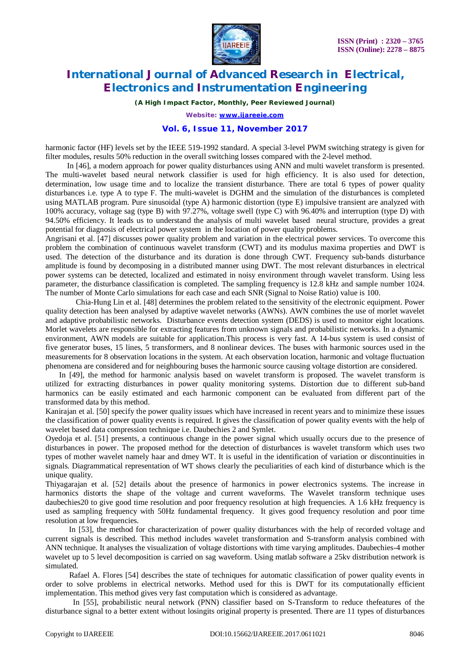

*(A High Impact Factor, Monthly, Peer Reviewed Journal)*

*Website: [www.ijareeie.com](http://www.ijareeie.com)*

# **Vol. 6, Issue 11, November 2017**

harmonic factor (HF) levels set by the IEEE 519-1992 standard. A special 3-level PWM switching strategy is given for filter modules, results 50% reduction in the overall switching losses compared with the 2-level method.

 In [46], a modern approach for power quality disturbances using ANN and multi wavelet transform is presented. The multi-wavelet based neural network classifier is used for high efficiency. It is also used for detection, determination, low usage time and to localize the transient disturbance. There are total 6 types of power quality disturbances i.e. type A to type F. The multi-wavelet is DGHM and the simulation of the disturbances is completed using MATLAB program. Pure sinusoidal (type A) harmonic distortion (type E) impulsive transient are analyzed with 100% accuracy, voltage sag (type B) with 97.27%, voltage swell (type C) with 96.40% and interruption (type D) with 94.50% efficiency. It leads us to understand the analysis of multi wavelet based neural structure, provides a great potential for diagnosis of electrical power system in the location of power quality problems.

Angrisani et al. [47] discusses power quality problem and variation in the electrical power services. To overcome this problem the combination of continuous wavelet transform (CWT) and its modulus maxima properties and DWT is used. The detection of the disturbance and its duration is done through CWT. Frequency sub-bands disturbance amplitude is found by decomposing in a distributed manner using DWT. The most relevant disturbances in electrical power systems can be detected, localized and estimated in noisy environment through wavelet transform. Using less parameter, the disturbance classification is completed. The sampling frequency is 12.8 kHz and sample number 1024. The number of Monte Carlo simulations for each case and each SNR (Signal to Noise Ratio) value is 100.

Chia-Hung Lin et al. [48] determines the problem related to the sensitivity of the electronic equipment. Power quality detection has been analysed by adaptive wavelet networks (AWNs). AWN combines the use of morlet wavelet and adaptive probabilistic networks. Disturbance events detection system (DEDS) is used to monitor eight locations. Morlet wavelets are responsible for extracting features from unknown signals and probabilistic networks. In a dynamic environment, AWN models are suitable for application.This process is very fast. A 14-bus system is used consist of five generator buses, 15 lines, 5 transformers, and 8 nonlinear devices. The buses with harmonic sources used in the measurements for 8 observation locations in the system. At each observation location, harmonic and voltage fluctuation phenomena are considered and for neighbouring buses the harmonic source causing voltage distortion are considered.

 In [49], the method for harmonic analysis based on wavelet transform is proposed. The wavelet transform is utilized for extracting disturbances in power quality monitoring systems. Distortion due to different sub-band harmonics can be easily estimated and each harmonic component can be evaluated from different part of the transformed data by this method.

Kanirajan et al. [50] specify the power quality issues which have increased in recent years and to minimize these issues the classification of power quality events is required. It gives the classification of power quality events with the help of wavelet based data compression technique i.e. Daubechies 2 and Symlet.

Oyedoja et al. [51] presents, a continuous change in the power signal which usually occurs due to the presence of disturbances in power. The proposed method for the detection of disturbances is wavelet transform which uses two types of mother wavelet namely haar and dmey WT. It is useful in the identification of variation or discontinuities in signals. Diagrammatical representation of WT shows clearly the peculiarities of each kind of disturbance which is the unique quality.

Thiyagarajan et al. [52] details about the presence of harmonics in power electronics systems. The increase in harmonics distorts the shape of the voltage and current waveforms. The Wavelet transform technique uses daubechies20 to give good time resolution and poor frequency resolution at high frequencies. A 1.6 kHz frequency is used as sampling frequency with 50Hz fundamental frequency. It gives good frequency resolution and poor time resolution at low frequencies.

 In [53], the method for characterization of power quality disturbances with the help of recorded voltage and current signals is described. This method includes wavelet transformation and S-transform analysis combined with ANN technique. It analyses the visualization of voltage distortions with time varying amplitudes. Daubechies-4 mother wavelet up to 5 level decomposition is carried on sag waveform. Using matlab software a 25kv distribution network is simulated.

 Rafael A. Flores [54] describes the state of techniques for automatic classification of power quality events in order to solve problems in electrical networks. Method used for this is DWT for its computationally efficient implementation. This method gives very fast computation which is considered as advantage.

 In [55], probabilistic neural network (PNN) classifier based on S-Transform to reduce thefeatures of the disturbance signal to a better extent without losingits original property is presented. There are 11 types of disturbances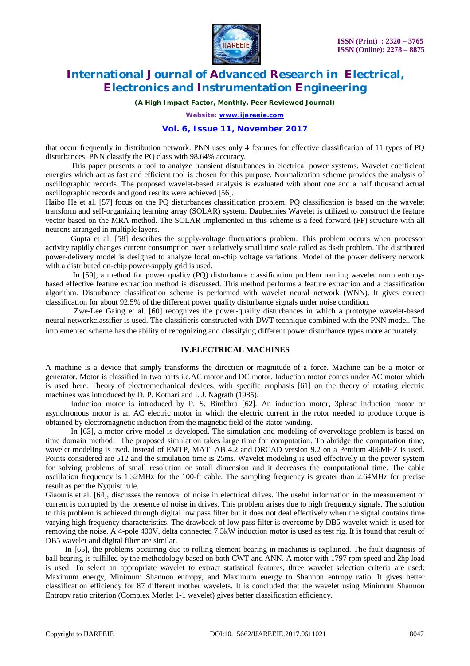

*(A High Impact Factor, Monthly, Peer Reviewed Journal)*

*Website: [www.ijareeie.com](http://www.ijareeie.com)*

### **Vol. 6, Issue 11, November 2017**

that occur frequently in distribution network. PNN uses only 4 features for effective classification of 11 types of PQ disturbances. PNN classify the PQ class with 98.64% accuracy.

 This paper presents a tool to analyze transient disturbances in electrical power systems. Wavelet coefficient energies which act as fast and efficient tool is chosen for this purpose. Normalization scheme provides the analysis of oscillographic records. The proposed wavelet-based analysis is evaluated with about one and a half thousand actual oscillographic records and good results were achieved [56].

Haibo He et al. [57] focus on the PQ disturbances classification problem. PQ classification is based on the wavelet transform and self-organizing learning array (SOLAR) system. Daubechies Wavelet is utilized to construct the feature vector based on the MRA method. The SOLAR implemented in this scheme is a feed forward (FF) structure with all neurons arranged in multiple layers.

 Gupta et al. [58] describes the supply-voltage fluctuations problem. This problem occurs when processor activity rapidly changes current consumption over a relatively small time scale called as ds/dt problem. The distributed power-delivery model is designed to analyze local on-chip voltage variations. Model of the power delivery network with a distributed on-chip power-supply grid is used.

 In [59], a method for power quality (PQ) disturbance classification problem naming wavelet norm entropybased effective feature extraction method is discussed. This method performs a feature extraction and a classification algorithm. Disturbance classification scheme is performed with wavelet neural network (WNN). It gives correct classification for about 92.5% of the different power quality disturbance signals under noise condition.

Zwe-Lee Gaing et al. [60] recognizes the power-quality disturbances in which a prototype wavelet-based neural networkclassifier is used. The classifieris constructed with DWT technique combined with the PNN model. The implemented scheme has the ability of recognizing and classifying different power disturbance types more accurately.

#### **IV.ELECTRICAL MACHINES**

A machine is a device that simply transforms the direction or magnitude of a force. Machine can be a motor or generator. Motor is classified in two parts i.e.AC motor and DC motor. Induction motor comes under AC motor which is used here. Theory of electromechanical devices, with specific emphasis [61] on the theory of rotating electric machines was introduced by D. P. Kothari and I. J. Nagrath (1985).

 Induction motor is introduced by P. S. Bimbhra [62]. An induction motor, 3phase induction motor or asynchronous motor is an AC electric motor in which the electric current in the rotor needed to produce torque is obtained by electromagnetic induction from the magnetic field of the stator winding.

 In [63], a motor drive model is developed. The simulation and modeling of overvoltage problem is based on time domain method. The proposed simulation takes large time for computation. To abridge the computation time, wavelet modeling is used. Instead of EMTP, MATLAB 4.2 and ORCAD version 9.2 on a Pentium 466MHZ is used. Points considered are 512 and the simulation time is 25ms. Wavelet modeling is used effectively in the power system for solving problems of small resolution or small dimension and it decreases the computational time. The cable oscillation frequency is 1.32MHz for the 100-ft cable. The sampling frequency is greater than 2.64MHz for precise result as per the Nyquist rule.

Giaouris et al. [64], discusses the removal of noise in electrical drives. The useful information in the measurement of current is corrupted by the presence of noise in drives. This problem arises due to high frequency signals. The solution to this problem is achieved through digital low pass filter but it does not deal effectively when the signal contains time varying high frequency characteristics. The drawback of low pass filter is overcome by DB5 wavelet which is used for removing the noise. A 4-pole 400V, delta connected 7.5kW induction motor is used as test rig. It is found that result of DB5 wavelet and digital filter are similar.

In [65], the problems occurring due to rolling element bearing in machines is explained. The fault diagnosis of ball bearing is fulfilled by the methodology based on both CWT and ANN. A motor with 1797 rpm speed and 2hp load is used. To select an appropriate wavelet to extract statistical features, three wavelet selection criteria are used: Maximum energy, Minimum Shannon entropy, and Maximum energy to Shannon entropy ratio. It gives better classification efficiency for 87 different mother wavelets. It is concluded that the wavelet using Minimum Shannon Entropy ratio criterion (Complex Morlet 1-1 wavelet) gives better classification efficiency.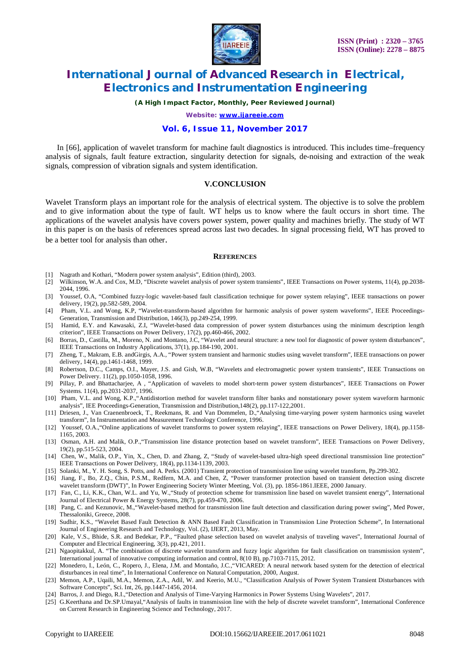

*(A High Impact Factor, Monthly, Peer Reviewed Journal)*

*Website: [www.ijareeie.com](http://www.ijareeie.com)*

### **Vol. 6, Issue 11, November 2017**

 In [66], application of wavelet transform for machine fault diagnostics is introduced. This includes time–frequency analysis of signals, fault feature extraction, singularity detection for signals, de-noising and extraction of the weak signals, compression of vibration signals and system identification.

#### **V.CONCLUSION**

Wavelet Transform plays an important role for the analysis of electrical system. The objective is to solve the problem and to give information about the type of fault. WT helps us to know where the fault occurs in short time. The applications of the wavelet analysis have covers power system, power quality and machines briefly. The study of WT in this paper is on the basis of references spread across last two decades. In signal processing field, WT has proved to be a better tool for analysis than other.

#### **REFERENCES**

- [1] Nagrath and Kothari, "Modern power system analysis", Edition (third), 2003.
- [2] Wilkinson, W.A. and Cox, M.D, "Discrete wavelet analysis of power system transients", IEEE Transactions on Power systems, 11(4), pp.2038- 2044, 1996.
- [3] Youssef, O.A, "Combined fuzzy-logic wavelet-based fault classification technique for power system relaying", IEEE transactions on power delivery, 19(2), pp.582-589, 2004.
- [4] Pham, V.L. and Wong, K.P, "Wavelet-transform-based algorithm for harmonic analysis of power system waveforms", IEEE Proceedings-Generation, Transmission and Distribution, 146(3), pp.249-254, 1999.
- [5] Hamid, E.Y. and Kawasaki, Z.I, "Wavelet-based data compression of power system disturbances using the minimum description length criterion", IEEE Transactions on Power Delivery, 17(2), pp.460-466, 2002.
- [6] Borras, D., Castilla, M., Moreno, N. and Montano, J.C, "Wavelet and neural structure: a new tool for diagnostic of power system disturbances", IEEE Transactions on Industry Applications, 37(1), pp.184-190, 2001.
- [7] Zheng, T., Makram, E.B. andGirgis, A.A., "Power system transient and harmonic studies using wavelet transform", IEEE transactions on power delivery, 14(4), pp.1461-1468, 1999.
- [8] Robertson, D.C., Camps, O.I., Mayer, J.S. and Gish, W.B, "Wavelets and electromagnetic power system transients", IEEE Transactions on Power Delivery. 11(2), pp.1050-1058, 1996.
- [9] Pillay, P. and Bhattacharjee, A , "Application of wavelets to model short-term power system disturbances", IEEE Transactions on Power Systems. 11(4), pp.2031-2037, 1996.
- [10] Pham, V.L. and Wong, K.P.,"Antidistortion method for wavelet transform filter banks and nonstationary power system waveform harmonic analysis", IEE Proceedings-Generation, Transmission and Distribution,148(2), pp.117-122,2001.
- [11] Driesen, J., Van Craenenbroeck, T., Reekmans, R. and Van Dommelen, D.,"Analysing time-varying power system harmonics using wavelet transform", In Instrumentation and Measurement Technology Conference, 1996.
- [12] Youssef, O.A.,"Online applications of wavelet transforms to power system relaying", IEEE transactions on Power Delivery, 18(4), pp.1158- 1165, 2003.
- [13] Osman, A.H. and Malik, O.P.,"Transmission line distance protection based on wavelet transform", IEEE Transactions on Power Delivery, 19(2), pp.515-523, 2004.
- [14] Chen, W., Malik, O.P., Yin, X., Chen, D. and Zhang, Z, "Study of wavelet-based ultra-high speed directional transmission line protection" IEEE Transactions on Power Delivery, 18(4), pp.1134-1139, 2003.
- [15] Solanki, M., Y. H. Song, S. Potts, and A. Perks. (2001) Transient protection of transmission line using wavelet transform, Pp.299-302.
- [16] Jiang, F., Bo, Z.Q., Chin, P.S.M., Redfern, M.A. and Chen, Z, "Power transformer protection based on transient detection using discrete wavelet transform (DWT)", In Power Engineering Society Winter Meeting, Vol. (3), pp. 1856-1861.IEEE, 2000 January.
- [17] Fan, C., Li, K.K., Chan, W.L. and Yu, W.,"Study of protection scheme for transmission line based on wavelet transient energy", International Journal of Electrical Power & Energy Systems, 28(7), pp.459-470, 2006.
- [18] Pang, C. and Kezunovic, M.,"Wavelet-based method for transmission line fault detection and classification during power swing", Med Power, Thessaloniki, Greece, 2008.
- [19] Sudhir, K.S., "Wavelet Based Fault Detection & ANN Based Fault Classification in Transmission Line Protection Scheme", In International Journal of Engineering Research and Technology, Vol. (2), IJERT, 2013, May.
- [20] Kale, V.S., Bhide, S.R. and Bedekar, P.P., "Faulted phase selection based on wavelet analysis of traveling waves", International Journal of Computer and Electrical Engineering, 3(3), pp.421, 2011.
- [21] Ngaopitakkul, A. "The combination of discrete wavelet transform and fuzzy logic algorithm for fault classification on transmission system", International journal of innovative computing information and control, 8(10 B), pp.7103-7115, 2012.
- [22] Monedero, I., León, C., Ropero, J., Elena, J.M. and Montaño, J.C.,"VICARED: A neural network based system for the detection of electrical disturbances in real time", In International Conference on Natural Computation, 2000, August.
- [23] Memon, A.P., Uqaili, M.A., Memon, Z.A., Adil, W. and Keerio, M.U., "Classification Analysis of Power System Transient Disturbances with Software Concepts", Sci. Int, 26, pp.1447-1456, 2014.
- [24] Barros, J. and Diego, R.I.,"Detection and Analysis of Time-Varying Harmonics in Power Systems Using Wavelets", 2017.
- [25] G.Keerthana and Dr.SP.Umayal,"Analysis of faults in transmission line with the help of discrete wavelet transform", International Conference on Current Research in Engineering Science and Technology, 2017.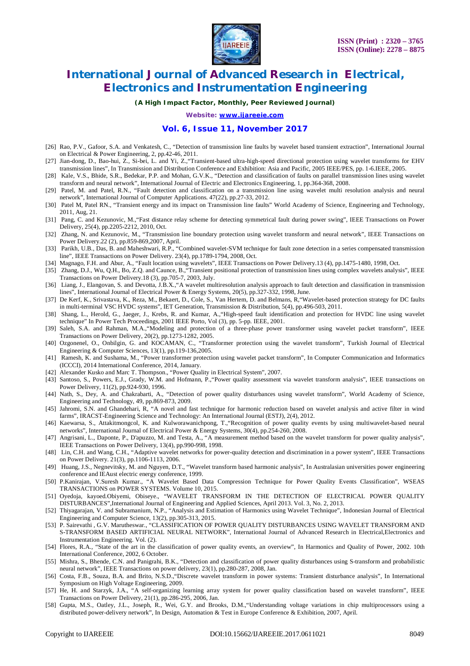

*(A High Impact Factor, Monthly, Peer Reviewed Journal)*

*Website: [www.ijareeie.com](http://www.ijareeie.com)*

#### **Vol. 6, Issue 11, November 2017**

- [26] Rao, P.V., Gafoor, S.A. and Venkatesh, C., "Detection of transmission line faults by wavelet based transient extraction", International Journal on Electrical & Power Engineering, 2, pp.42-46, 2011.
- [27] Jian-dong, D., Bao-hui, Z., Si-bei, L. and Yi, Z.,"Transient-based ultra-high-speed directional protection using wavelet transforms for EHV transmission lines", In Transmission and Distribution Conference and Exhibition: Asia and Pacific, 2005 IEEE/PES, pp. 1-6.IEEE, 2005.
- [28] Kale, V.S., Bhide, S.R., Bedekar, P.P. and Mohan, G.V.K., "Detection and classification of faults on parallel transmission lines using wavelet transform and neural network", International Journal of Electric and Electronics Engineering, 1, pp.364-368, 2008.
- [29] Patel, M. and Patel, R.N., "Fault detection and classification on a transmission line using wavelet multi resolution analysis and neural network", International Journal of Computer Applications. 47(22), pp.27-33, 2012.
- [30] Patel M, Patel RN., "Transient energy and its impact on Transmission line faults" World Academy of Science, Engineering and Technology, 2011, Aug, 21.
- [31] Pang, C. and Kezunovic, M.,"Fast distance relay scheme for detecting symmetrical fault during power swing", IEEE Transactions on Power Delivery, 25(4), pp.2205-2212, 2010, Oct.
- [32] Zhang, N. and Kezunovic, M., "Transmission line boundary protection using wavelet transform and neural network", IEEE Transactions on Power Delivery.22 (2), pp.859-869,2007, April.
- [33] Parikh, U.B., Das, B. and Maheshwari, R.P., "Combined wavelet-SVM technique for fault zone detection in a series compensated transmission line", IEEE Transactions on Power Delivery. 23(4), pp.1789-1794, 2008, Oct.
- [34] Magnago, F.H. and Abur, A., "Fault location using wavelets", IEEE Transactions on Power Delivery.13 (4), pp.1475-1480, 1998, Oct.
- [35] Zhang, D.J., Wu, Q.H., Bo, Z.Q. and Caunce, B.,"Transient positional protection of transmission lines using complex wavelets analysis", IEEE Transactions on Power Delivery.18 (3), pp.705-7, 2003, July.
- [36] Liang, J., Elangovan, S. and Devotta, J.B.X.,"A wavelet multiresolution analysis approach to fault detection and classification in transmission lines", International Journal of Electrical Power & Energy Systems, 20(5), pp.327-332, 1998, June.
- [37] De Kerf, K., Srivastava, K., Reza, M., Bekaert, D., Cole, S., Van Hertem, D. and Belmans, R,"Wavelet-based protection strategy for DC faults in multi-terminal VSC HVDC systems", IET Generation, Transmission & Distribution, 5(4), pp.496-503, 2011.
- [38] Shang, L., Herold, G., Jaeger, J., Krebs, R. and Kumar, A.,"High-speed fault identification and protection for HVDC line using wavelet technique" In Power Tech Proceedings, 2001 IEEE Porto, Vol (3), pp. 5-pp. IEEE, 2001.
- [39] Saleh, S.A. and Rahman, M.A.,"Modeling and protection of a three-phase power transformer using wavelet packet transform", IEEE Transactions on Power Delivery, 20(2), pp.1273-1282, 2005.
- [40] Ozgonenel, O., Onbilgin, G. and KOCAMAN, C., "Transformer protection using the wavelet transform", Turkish Journal of Electrical Engineering & Computer Sciences, 13(1), pp.119-136,2005.
- [41] Ramesh, K. and Sushama, M., "Power transformer protection using wavelet packet transform", In Computer Communication and Informatics (ICCCI), 2014 International Conference, 2014, January.
- [42] Alexander Kusko and Marc T. Thompson., "Power Quality in Electrical System", 2007.
- [43] Santoso, S., Powers, E.J., Grady, W.M. and Hofmann, P.,"Power quality assessment via wavelet transform analysis", IEEE transactions on Power Delivery, 11(2), pp.924-930, 1996.
- [44] Nath, S., Dey, A. and Chakrabarti, A., "Detection of power quality disturbances using wavelet transform", World Academy of Science, Engineering and Technology, 49, pp.869-873, 2009.
- [45] Jahromi, S.N. and Ghandehari, R, "A novel and fast technique for harmonic reduction based on wavelet analysis and active filter in wind farms", IRACST-Engineering Science and Technology: An International Journal (ESTJ), 2(4), 2012.
- [46] Kaewarsa, S., Attakitmongcol, K. and Kulworawanichpong, T.,"Recognition of power quality events by using multiwavelet-based neural networks", International Journal of Electrical Power & Energy Systems, 30(4), pp.254-260, 2008.
- [47] Angrisani, L., Daponte, P., D'apuzzo, M. and Testa, A., "A measurement method based on the wavelet transform for power quality analysis", IEEE Transactions on Power Delivery, 13(4), pp.990-998, 1998.
- [48] Lin, C.H. and Wang, C.H., "Adaptive wavelet networks for power-quality detection and discrimination in a power system", IEEE Transactions on Power Delivery. 21(3), pp.1106-1113, 2006.
- [49] Huang, J.S., Negnevitsky, M. and Nguyen, D.T., "Wavelet transform based harmonic analysis", In Australasian universities power engineering conference and IEAust electric energy conference, 1999.
- [50] P.Kanirajan, V.Suresh Kumar., "A Wavelet Based Data Compression Technique for Power Quality Events Classification", WSEAS TRANSACTIONS on POWER SYSTEMS. Volume 10, 2015.
- [51] Oyedoja, kayoed.Obiyemi, Obiseye., "WAVELET TRANSFORM IN THE DETECTION OF ELECTRICAL POWER QUALITY DISTURBANCES",International Journal of Engineering and Applied Sciences, April 2013. Vol. 3, No. 2, 2013.
- [52] Thiyagarajan, V. and Subramanium, N.P., "Analysis and Estimation of Harmonics using Wavelet Technique", Indonesian Journal of Electrical Engineering and Computer Science, 13(2), pp.305-313, 2015.
- [53] P. Sairevathi , G.V. Marutheswar., "CLASSIFICATION OF POWER QUALITY DISTURBANCES USING WAVELET TRANSFORM AND S-TRANSFORM BASED ARTIFICIAL NEURAL NETWORK", International Journal of Advanced Research in Electrical,Electronics and Instrumentation Engineering. Vol. (2).
- [54] Flores, R.A., "State of the art in the classification of power quality events, an overview", In Harmonics and Quality of Power, 2002. 10th International Conference, 2002, 6 October.
- [55] Mishra, S., Bhende, C.N. and Panigrahi, B.K., "Detection and classification of power quality disturbances using S-transform and probabilistic neural network", IEEE Transactions on power delivery, 23(1), pp.280-287, 2008, Jan.
- [56] Costa, F.B., Souza, B.A. and Brito, N.S.D.,"Discrete wavelet transform in power systems: Transient disturbance analysis", In International Symposium on High Voltage Engineering, 2009.
- [57] He, H. and Starzyk, J.A., "A self-organizing learning array system for power quality classification based on wavelet transform", IEEE Transactions on Power Delivery, 21(1), pp.286-295, 2006, Jan.
- [58] Gupta, M.S., Oatley, J.L., Joseph, R., Wei, G.Y. and Brooks, D.M.,"Understanding voltage variations in chip multiprocessors using a distributed power-delivery network", In Design, Automation & Test in Europe Conference & Exhibition, 2007, April.